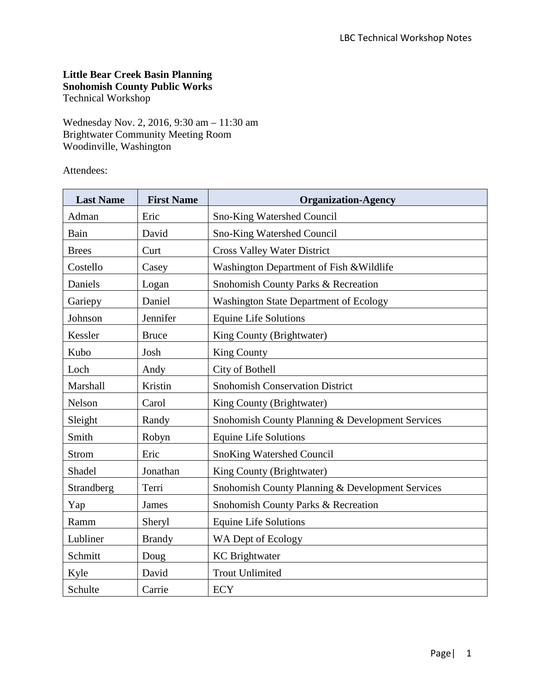# **Little Bear Creek Basin Planning Snohomish County Public Works**

Technical Workshop

Wednesday Nov. 2, 2016, 9:30 am – 11:30 am Brightwater Community Meeting Room Woodinville, Washington

Attendees:

| <b>Last Name</b> | <b>First Name</b> | <b>Organization-Agency</b>                       |
|------------------|-------------------|--------------------------------------------------|
| Adman            | Eric              | <b>Sno-King Watershed Council</b>                |
| Bain             | David             | Sno-King Watershed Council                       |
| <b>Brees</b>     | Curt              | <b>Cross Valley Water District</b>               |
| Costello         | Casey             | Washington Department of Fish & Wildlife         |
| Daniels          | Logan             | Snohomish County Parks & Recreation              |
| Gariepy          | Daniel            | <b>Washington State Department of Ecology</b>    |
| Johnson          | Jennifer          | <b>Equine Life Solutions</b>                     |
| Kessler          | <b>Bruce</b>      | King County (Brightwater)                        |
| Kubo             | Josh              | <b>King County</b>                               |
| Loch             | Andy              | City of Bothell                                  |
| Marshall         | Kristin           | <b>Snohomish Conservation District</b>           |
| Nelson           | Carol             | King County (Brightwater)                        |
| Sleight          | Randy             | Snohomish County Planning & Development Services |
| Smith            | Robyn             | <b>Equine Life Solutions</b>                     |
| <b>Strom</b>     | Eric              | <b>SnoKing Watershed Council</b>                 |
| Shadel           | Jonathan          | King County (Brightwater)                        |
| Strandberg       | Terri             | Snohomish County Planning & Development Services |
| Yap              | <b>James</b>      | Snohomish County Parks & Recreation              |
| Ramm             | Sheryl            | <b>Equine Life Solutions</b>                     |
| Lubliner         | <b>Brandy</b>     | WA Dept of Ecology                               |
| Schmitt          | Doug              | <b>KC</b> Brightwater                            |
| Kyle             | David             | <b>Trout Unlimited</b>                           |
| Schulte          | Carrie            | <b>ECY</b>                                       |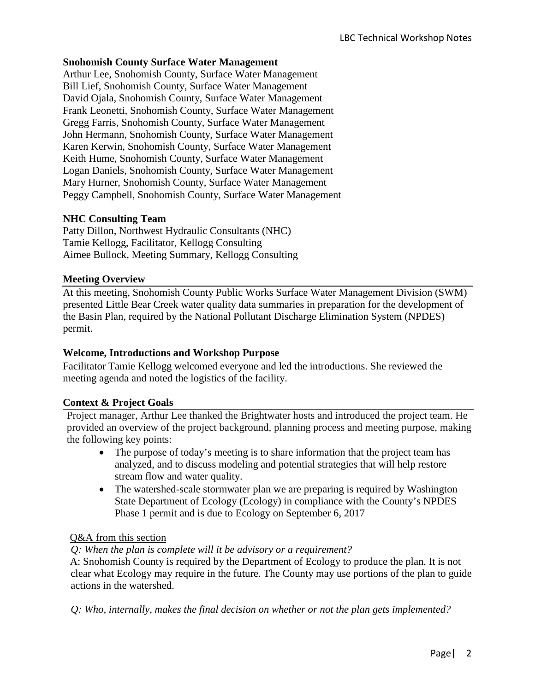### **Snohomish County Surface Water Management**

Arthur Lee, Snohomish County, Surface Water Management Bill Lief, Snohomish County, Surface Water Management David Ojala, Snohomish County, Surface Water Management Frank Leonetti, Snohomish County, Surface Water Management Gregg Farris, Snohomish County, Surface Water Management John Hermann, Snohomish County, Surface Water Management Karen Kerwin, Snohomish County, Surface Water Management Keith Hume, Snohomish County, Surface Water Management Logan Daniels, Snohomish County, Surface Water Management Mary Hurner, Snohomish County, Surface Water Management Peggy Campbell, Snohomish County, Surface Water Management

### **NHC Consulting Team**

Patty Dillon, Northwest Hydraulic Consultants (NHC) Tamie Kellogg, Facilitator, Kellogg Consulting Aimee Bullock, Meeting Summary, Kellogg Consulting

### **Meeting Overview**

At this meeting, Snohomish County Public Works Surface Water Management Division (SWM) presented Little Bear Creek water quality data summaries in preparation for the development of the Basin Plan, required by the National Pollutant Discharge Elimination System (NPDES) permit.

### **Welcome, Introductions and Workshop Purpose**

Facilitator Tamie Kellogg welcomed everyone and led the introductions. She reviewed the meeting agenda and noted the logistics of the facility.

# **Context & Project Goals**

Project manager, Arthur Lee thanked the Brightwater hosts and introduced the project team. He provided an overview of the project background, planning process and meeting purpose, making the following key points:

- The purpose of today's meeting is to share information that the project team has analyzed, and to discuss modeling and potential strategies that will help restore stream flow and water quality.
- The watershed-scale stormwater plan we are preparing is required by Washington State Department of Ecology (Ecology) in compliance with the County's NPDES Phase 1 permit and is due to Ecology on September 6, 2017

### Q&A from this section

### *Q: When the plan is complete will it be advisory or a requirement?*

A: Snohomish County is required by the Department of Ecology to produce the plan. It is not clear what Ecology may require in the future. The County may use portions of the plan to guide actions in the watershed.

*Q: Who, internally, makes the final decision on whether or not the plan gets implemented?*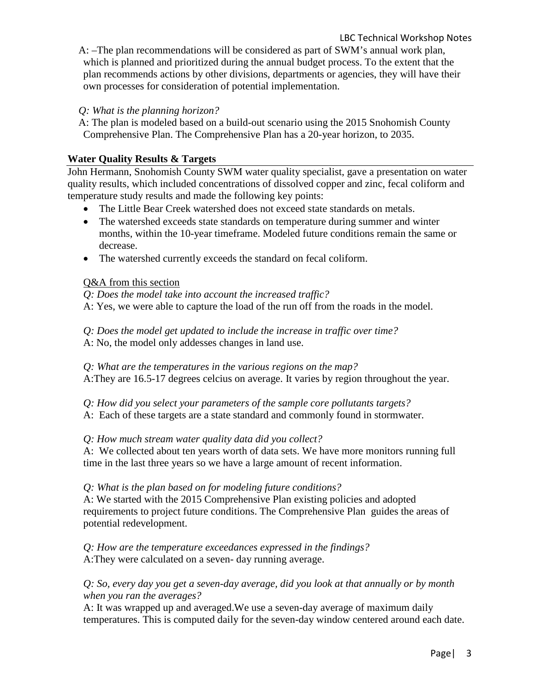A: –The plan recommendations will be considered as part of SWM's annual work plan, which is planned and prioritized during the annual budget process. To the extent that the plan recommends actions by other divisions, departments or agencies, they will have their own processes for consideration of potential implementation.

*Q: What is the planning horizon?*

A: The plan is modeled based on a build-out scenario using the 2015 Snohomish County Comprehensive Plan. The Comprehensive Plan has a 20-year horizon, to 2035.

# **Water Quality Results & Targets**

John Hermann, Snohomish County SWM water quality specialist, gave a presentation on water quality results, which included concentrations of dissolved copper and zinc, fecal coliform and temperature study results and made the following key points:

- The Little Bear Creek watershed does not exceed state standards on metals.
- The watershed exceeds state standards on temperature during summer and winter months, within the 10-year timeframe. Modeled future conditions remain the same or decrease.
- The watershed currently exceeds the standard on fecal coliform.

# Q&A from this section

- *Q: Does the model take into account the increased traffic?*
- A: Yes, we were able to capture the load of the run off from the roads in the model.
- *Q: Does the model get updated to include the increase in traffic over time?*
- A: No, the model only addesses changes in land use.

*Q: What are the temperatures in the various regions on the map?* A:They are 16.5-17 degrees celcius on average. It varies by region throughout the year.

- *Q: How did you select your parameters of the sample core pollutants targets?*
- A: Each of these targets are a state standard and commonly found in stormwater.

# *Q: How much stream water quality data did you collect?*

A: We collected about ten years worth of data sets. We have more monitors running full time in the last three years so we have a large amount of recent information.

*Q: What is the plan based on for modeling future conditions?*

A: We started with the 2015 Comprehensive Plan existing policies and adopted requirements to project future conditions. The Comprehensive Plan guides the areas of potential redevelopment.

*Q: How are the temperature exceedances expressed in the findings?* A:They were calculated on a seven- day running average.

# *Q: So, every day you get a seven-day average, did you look at that annually or by month when you ran the averages?*

A: It was wrapped up and averaged.We use a seven-day average of maximum daily temperatures. This is computed daily for the seven-day window centered around each date.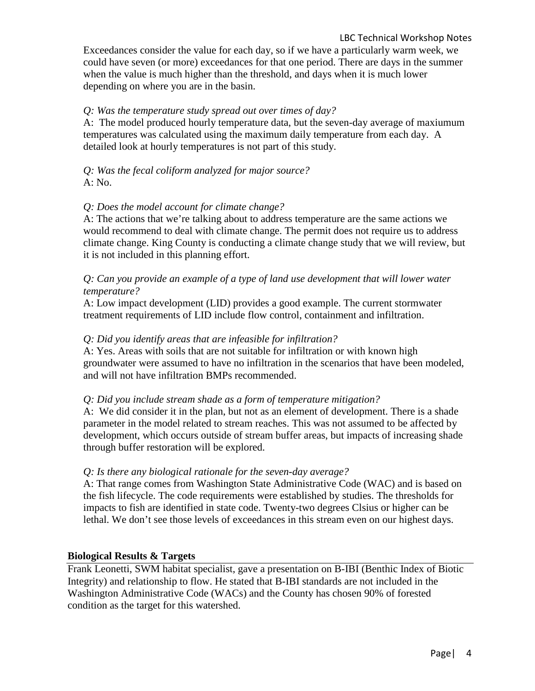Exceedances consider the value for each day, so if we have a particularly warm week, we could have seven (or more) exceedances for that one period. There are days in the summer when the value is much higher than the threshold, and days when it is much lower depending on where you are in the basin.

# *Q: Was the temperature study spread out over times of day?*

A: The model produced hourly temperature data, but the seven-day average of maxiumum temperatures was calculated using the maximum daily temperature from each day. A detailed look at hourly temperatures is not part of this study.

# *Q: Was the fecal coliform analyzed for major source?* A: No.

# *Q: Does the model account for climate change?*

A: The actions that we're talking about to address temperature are the same actions we would recommend to deal with climate change. The permit does not require us to address climate change. King County is conducting a climate change study that we will review, but it is not included in this planning effort.

# *Q: Can you provide an example of a type of land use development that will lower water temperature?*

A: Low impact development (LID) provides a good example. The current stormwater treatment requirements of LID include flow control, containment and infiltration.

# *Q: Did you identify areas that are infeasible for infiltration?*

A: Yes. Areas with soils that are not suitable for infiltration or with known high groundwater were assumed to have no infiltration in the scenarios that have been modeled, and will not have infiltration BMPs recommended.

### *Q: Did you include stream shade as a form of temperature mitigation?*

A: We did consider it in the plan, but not as an element of development. There is a shade parameter in the model related to stream reaches. This was not assumed to be affected by development, which occurs outside of stream buffer areas, but impacts of increasing shade through buffer restoration will be explored.

### *Q: Is there any biological rationale for the seven-day average?*

A: That range comes from Washington State Administrative Code (WAC) and is based on the fish lifecycle. The code requirements were established by studies. The thresholds for impacts to fish are identified in state code. Twenty-two degrees Clsius or higher can be lethal. We don't see those levels of exceedances in this stream even on our highest days.

### **Biological Results & Targets**

Frank Leonetti, SWM habitat specialist, gave a presentation on B-IBI (Benthic Index of Biotic Integrity) and relationship to flow. He stated that B-IBI standards are not included in the Washington Administrative Code (WACs) and the County has chosen 90% of forested condition as the target for this watershed.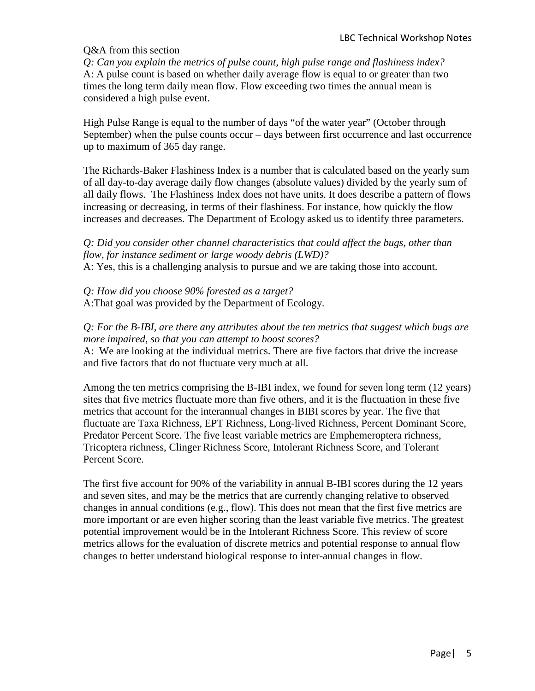### Q&A from this section

*Q: Can you explain the metrics of pulse count, high pulse range and flashiness index?* A: A pulse count is based on whether daily average flow is equal to or greater than two times the long term daily mean flow. Flow exceeding two times the annual mean is considered a high pulse event.

High Pulse Range is equal to the number of days "of the water year" (October through September) when the pulse counts occur – days between first occurrence and last occurrence up to maximum of 365 day range.

The Richards-Baker Flashiness Index is a number that is calculated based on the yearly sum of all day-to-day average daily flow changes (absolute values) divided by the yearly sum of all daily flows. The Flashiness Index does not have units. It does describe a pattern of flows increasing or decreasing, in terms of their flashiness. For instance, how quickly the flow increases and decreases. The Department of Ecology asked us to identify three parameters.

*Q: Did you consider other channel characteristics that could affect the bugs, other than flow, for instance sediment or large woody debris (LWD)?*

A: Yes, this is a challenging analysis to pursue and we are taking those into account.

*Q: How did you choose 90% forested as a target?* A:That goal was provided by the Department of Ecology.

# *Q: For the B-IBI, are there any attributes about the ten metrics that suggest which bugs are more impaired, so that you can attempt to boost scores?*

A: We are looking at the individual metrics. There are five factors that drive the increase and five factors that do not fluctuate very much at all.

Among the ten metrics comprising the B-IBI index, we found for seven long term (12 years) sites that five metrics fluctuate more than five others, and it is the fluctuation in these five metrics that account for the interannual changes in BIBI scores by year. The five that fluctuate are Taxa Richness, EPT Richness, Long-lived Richness, Percent Dominant Score, Predator Percent Score. The five least variable metrics are Emphemeroptera richness, Tricoptera richness, Clinger Richness Score, Intolerant Richness Score, and Tolerant Percent Score.

The first five account for 90% of the variability in annual B-IBI scores during the 12 years and seven sites, and may be the metrics that are currently changing relative to observed changes in annual conditions (e.g., flow). This does not mean that the first five metrics are more important or are even higher scoring than the least variable five metrics. The greatest potential improvement would be in the Intolerant Richness Score. This review of score metrics allows for the evaluation of discrete metrics and potential response to annual flow changes to better understand biological response to inter-annual changes in flow.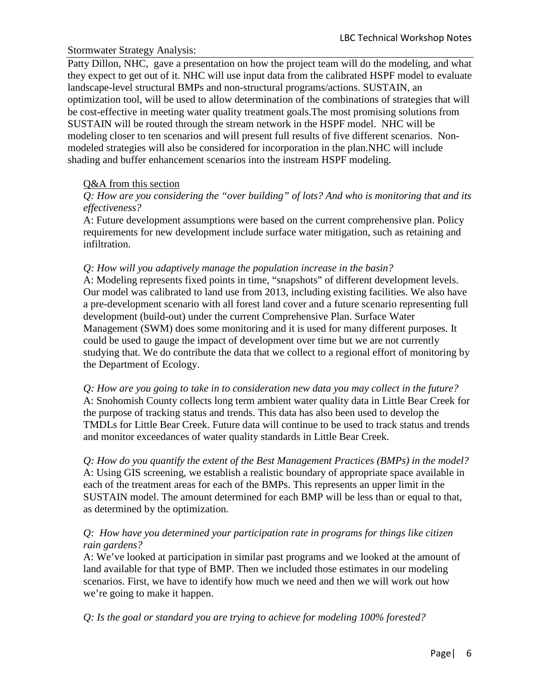# Stormwater Strategy Analysis:

Patty Dillon, NHC, gave a presentation on how the project team will do the modeling, and what they expect to get out of it. NHC will use input data from the calibrated HSPF model to evaluate landscape-level structural BMPs and non-structural programs/actions. SUSTAIN, an optimization tool, will be used to allow determination of the combinations of strategies that will be cost-effective in meeting water quality treatment goals.The most promising solutions from SUSTAIN will be routed through the stream network in the HSPF model. NHC will be modeling closer to ten scenarios and will present full results of five different scenarios. Nonmodeled strategies will also be considered for incorporation in the plan.NHC will include shading and buffer enhancement scenarios into the instream HSPF modeling.

# Q&A from this section

*Q: How are you considering the "over building" of lots? And who is monitoring that and its effectiveness?*

A: Future development assumptions were based on the current comprehensive plan. Policy requirements for new development include surface water mitigation, such as retaining and infiltration.

### *Q: How will you adaptively manage the population increase in the basin?*

A: Modeling represents fixed points in time, "snapshots" of different development levels. Our model was calibrated to land use from 2013, including existing facilities. We also have a pre-development scenario with all forest land cover and a future scenario representing full development (build-out) under the current Comprehensive Plan. Surface Water Management (SWM) does some monitoring and it is used for many different purposes. It could be used to gauge the impact of development over time but we are not currently studying that. We do contribute the data that we collect to a regional effort of monitoring by the Department of Ecology.

*Q: How are you going to take in to consideration new data you may collect in the future?* A: Snohomish County collects long term ambient water quality data in Little Bear Creek for the purpose of tracking status and trends. This data has also been used to develop the TMDLs for Little Bear Creek. Future data will continue to be used to track status and trends and monitor exceedances of water quality standards in Little Bear Creek.

*Q: How do you quantify the extent of the Best Management Practices (BMPs) in the model?* A: Using GIS screening, we establish a realistic boundary of appropriate space available in each of the treatment areas for each of the BMPs. This represents an upper limit in the SUSTAIN model. The amount determined for each BMP will be less than or equal to that, as determined by the optimization.

# *Q: How have you determined your participation rate in programs for things like citizen rain gardens?*

A: We've looked at participation in similar past programs and we looked at the amount of land available for that type of BMP. Then we included those estimates in our modeling scenarios. First, we have to identify how much we need and then we will work out how we're going to make it happen.

*Q: Is the goal or standard you are trying to achieve for modeling 100% forested?*